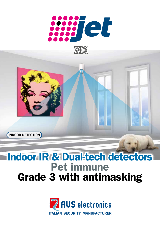

 $\bigcirc$ 



## Indoor IR & Dual-tech detectors Pet immune Grade 3 with antimasking